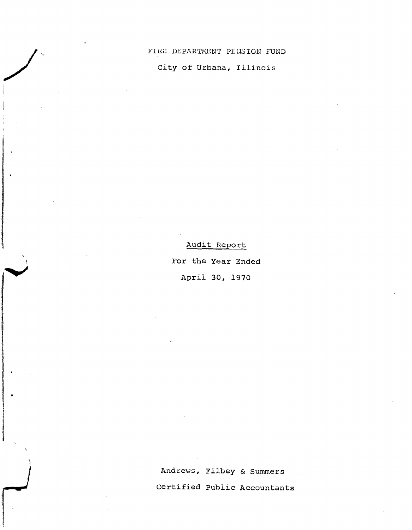FIRE DEPARTMENT PENSION FUND

City of Urbana, Illinois

Audit Report For the Year Ended April 30, 1970

Andrews, Filbey & Summers Certified Public Accountants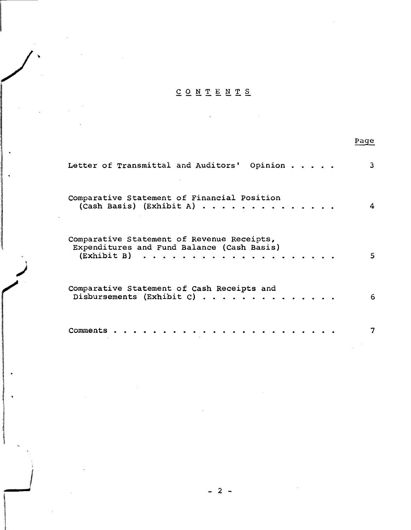# $\underline{C} \underline{O} \underline{N} \underline{T} \underline{E} \underline{N} \underline{T} \underline{S}$

 $\label{eq:2.1} \frac{1}{\sqrt{2}}\left(\frac{1}{\sqrt{2}}\right)^{2} \left(\frac{1}{\sqrt{2}}\right)^{2} \left(\frac{1}{\sqrt{2}}\right)^{2} \left(\frac{1}{\sqrt{2}}\right)^{2} \left(\frac{1}{\sqrt{2}}\right)^{2} \left(\frac{1}{\sqrt{2}}\right)^{2} \left(\frac{1}{\sqrt{2}}\right)^{2} \left(\frac{1}{\sqrt{2}}\right)^{2} \left(\frac{1}{\sqrt{2}}\right)^{2} \left(\frac{1}{\sqrt{2}}\right)^{2} \left(\frac{1}{\sqrt{2}}\right)^{2} \left(\$ 

 $\mathcal{A}^{\prime}$ 

|                                                                                                                                       | Page |
|---------------------------------------------------------------------------------------------------------------------------------------|------|
| Letter of Transmittal and Auditors'<br>Opinion                                                                                        | 3    |
| Comparative Statement of Financial Position<br>(Cash Basis) (Exhibit A) $\cdots$ $\cdots$ $\cdots$ $\cdots$                           | 4    |
| Comparative Statement of Revenue Receipts,<br>Expenditures and Fund Balance (Cash Basis)<br>$(Exhibit B) \ldots \ldots \ldots \ldots$ | 5.   |
| Comparative Statement of Cash Receipts and<br>Disbursements (Exhibit C)                                                               | 6    |
| Comments                                                                                                                              |      |

 $\bar{z}$ 

 $\sim$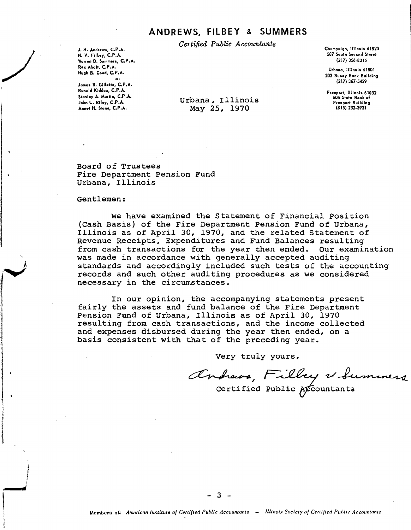## ANDREWS. FILBEY & SUMMERS

Certified Public Accountants

J. H. Andrews, C.P.A. N. V. Filbey, C.P.A. Warren D. Summers, C.P.A. Rex Abolt, C.P.A. Hugh B. Good, C.P.A.

Jomes R. Gillette, C.P.A. Ronold Kiddoo, C.P.A. Stanley A. Martin, C.P.A. John L. Riley, C.P.A. Annet H. Stone, C.P.A.

Champaign, Illinois 61820 507 South Second Street  $(217)$  356-8315

Urbana, Illinois 61801 202 Busey Bank Building  $(217)$  367-5429

Freeport, Illinois 61032 505 State Bank of Freeport Building  $(815)$  232-3931

Urbana, Illinois May 25, 1970

Board of Trustees Fire Department Pension Fund Urbana, Illinois

### Gentlemen:

We have examined the Statement of Financial Position (Cash Basis) of the Fire Department Pension Fund of Urbana, Illinois as of April 30, 1970, and the related Statement of Revenue Receipts, Expenditures and Fund Balances resulting from cash transactions for the year then ended. Our examination was made in accordance with generally accepted auditing standards and accordingly included such tests of the accounting records and such other auditing procedures as we considered necessary in the circumstances.

In our opinion, the accompanying statements present fairly the assets and fund balance of the Fire Department Pension Fund of Urbana, Illinois as of April 30, 1970 resulting from cash transactions, and the income collected and expenses disbursed during the year then ended, on a basis consistent with that of the preceding year.

Very truly yours,

Andrews, Filbey & Summers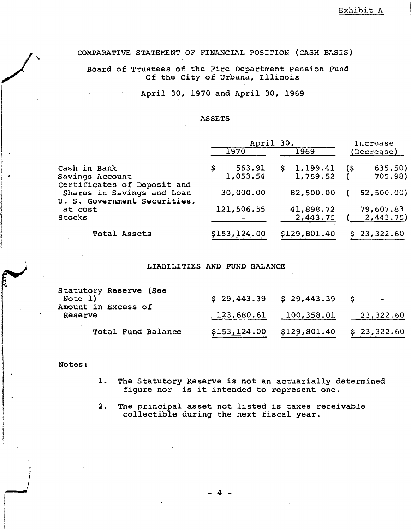## COMPARATIVE STATEMENT OF FINANCIAL POSITION (CASH BASIS)

Board of Trustees of the Fire Department Pension Fund Of the City of Urbana, Illinois

April 30, 1970 and April 30, 1969

### **ASSETS**

|                                                                                           | April 30,    |              | Increase       |  |
|-------------------------------------------------------------------------------------------|--------------|--------------|----------------|--|
|                                                                                           | 1970         | 1969         | (Decrease)     |  |
| Cash in Bank                                                                              | 563.91       | 1,199.41     | 635.50)<br>(\$ |  |
| Savings Account                                                                           | 1,053.54     | 1,759.52     | 705.98)        |  |
| Certificates of Deposit and<br>Shares in Savings and Loan<br>U. S. Government Securities, | 30,000,00    | 82,500.00    | 52,500.00)     |  |
| at cost                                                                                   | 121,506.55   | 41,898.72    | 79,607.83      |  |
| Stocks                                                                                    |              | 2,443.75     | 2,443.75)      |  |
| Total Assets                                                                              | \$153,124.00 | \$129,801.40 | 23,322.60      |  |

### LIABILITIES AND FUND BALANCE

| Statutory Reserve (See<br>Note 1)<br>Amount in Excess of |              | $$29,443.39$ $$29,443.39$ \$ | $\sim$ $-$  |
|----------------------------------------------------------|--------------|------------------------------|-------------|
| Reserve                                                  |              | $123,680.61$ $100,358.01$    | 23,322.60   |
| Total Fund Balance                                       | \$153,124.00 | \$129,801.40                 | \$23,322.60 |

### Notes:

• i<br>in the state of

<sup>f</sup> **-....".**

- 1. The Statutory Reserve is not an actuaria11y determined figure nor is it intended to represent one.
- 2. The principal asset not listed is taxes receivable collectible during the next fiscal year .

- 4 -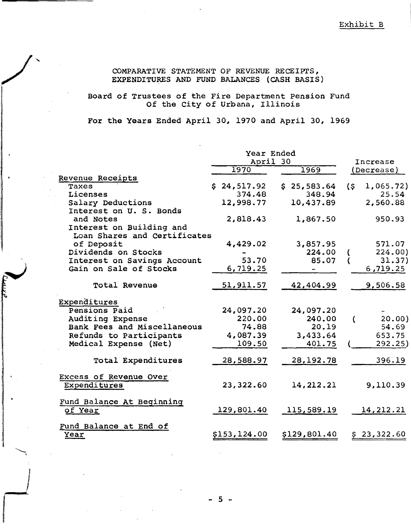COMPARATIVE STATEMENT OF REVENUE RECEIPTS, EXPENDITURES AND FUND BALANCES (CASH BASIS)

Board of Trustees of the Fire Department Pension Fund<br>Of the City of Urbana, Illinois

For the Years Ended April 30, 1970 and April 30, 1969

|                                                          | Year Ended<br>April 30 |                   |  | Increase     |     |             |
|----------------------------------------------------------|------------------------|-------------------|--|--------------|-----|-------------|
|                                                          |                        | 1970              |  | 1969         |     | (Decrease)  |
| Revenue Receipts                                         |                        |                   |  |              |     |             |
| Taxes                                                    |                        | \$24,517.92       |  | \$25,583.64  | (s) | 1,065.72)   |
| Licenses                                                 |                        | 374.48            |  | 348.94       |     | 25.54       |
| Salary Deductions<br>Interest on U. S. Bonds             |                        | 12,998.77         |  | 10,437.89    |     | 2,560.88    |
| and Notes                                                |                        | 2,818.43          |  | 1,867.50     |     | 950.93      |
| Interest on Building and<br>Loan Shares and Certificates |                        |                   |  |              |     |             |
| of Deposit                                               |                        | 4,429.02          |  | 3,857.95     |     | 571.07      |
| Dividends on Stocks                                      |                        |                   |  | 224.00       |     | 224.00)     |
| Interest on Savings Account                              |                        | 53.70             |  | 85.07        |     | 31.37)      |
| Gain on Sale of Stocks                                   |                        | 6,719.25          |  |              |     | 6,719.25    |
| Total Revenue                                            |                        | <u>51</u> ,911.57 |  | 42,404.99    |     | 9,506.58    |
| Expenditures                                             |                        |                   |  |              |     |             |
| Pensions Paid                                            |                        | 24,097.20         |  | 24,097.20    |     |             |
| Auditing Expense                                         |                        | 220.00            |  | 240.00       |     | 20.00)      |
| Bank Fees and Miscellaneous                              |                        | 74.88             |  | 20.19        |     | 54.69       |
| Refunds to Participants                                  |                        | 4,087.39          |  | 3,433.64     |     | 653.75      |
| Medical Expense (Net)                                    |                        | 109.50            |  | 401.75       |     | 292.25)     |
| Total Expenditures                                       |                        | 28,588.97         |  | 28, 192. 78  |     | 396.19      |
| Excess of Revenue Over<br>Expenditures                   |                        | 23,322.60         |  | 14, 212. 21  |     | 9,110.39    |
| Fund Balance At Beginning<br>of Year                     |                        | 129,801.40        |  | 115,589.19   |     | 14, 212. 21 |
| Fund Balance at End of<br>Year                           |                        | \$153,124.00      |  | \$129,801.40 |     | \$23,322.60 |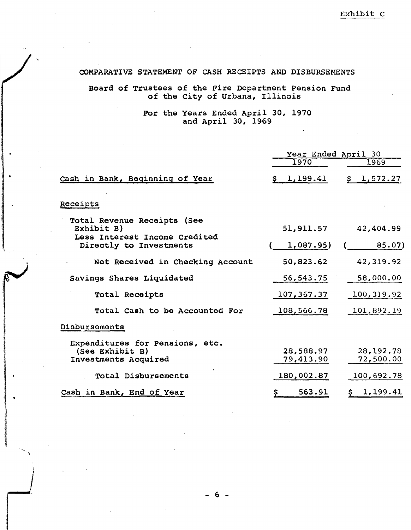## COMPARATIVE STATEMENT OF CASH RECEIPTS AND DISBURSEMENTS

# Board of Trustees of the Fire Department Pension Fund of the City of Urbana, Illinois

## For the Years Ended April 30, 1970 and April 30, 1969

|                                                                            | Year Ended April 30    |                          |  |  |
|----------------------------------------------------------------------------|------------------------|--------------------------|--|--|
|                                                                            | 1970                   | 1969                     |  |  |
| Cash in Bank, Beginning of Year                                            | \$1,199.41             | \$1,572.27               |  |  |
| Receipts                                                                   |                        |                          |  |  |
| Total Revenue Receipts (See<br>Exhibit B)<br>Less Interest Income Credited | 51,911.57              | 42,404.99                |  |  |
| Directly to Investments                                                    | 1,087.95)              | 85.07)                   |  |  |
| Net Received in Checking Account                                           | 50,823.62              | 42,319.92                |  |  |
| Savings Shares Liquidated                                                  | 56, 543. 75            | 58,000.00                |  |  |
| Total Receipts                                                             | 107,367.37             | 100,319.92               |  |  |
| Total Cash to be Accounted For                                             | 108,566.78             | [101, 892.19]            |  |  |
| Disbursements                                                              |                        |                          |  |  |
| Expenditures for Pensions, etc.<br>(See Exhibit B)<br>Investments Acquired | 28,588.97<br>79,413.90 | 28, 192. 78<br>72,500.00 |  |  |
| Total Disbursements                                                        | 180,002.87             | 100,692.78               |  |  |
| Cash in Bank, End of Year                                                  | 563.91                 | 1,199.41                 |  |  |

j ,